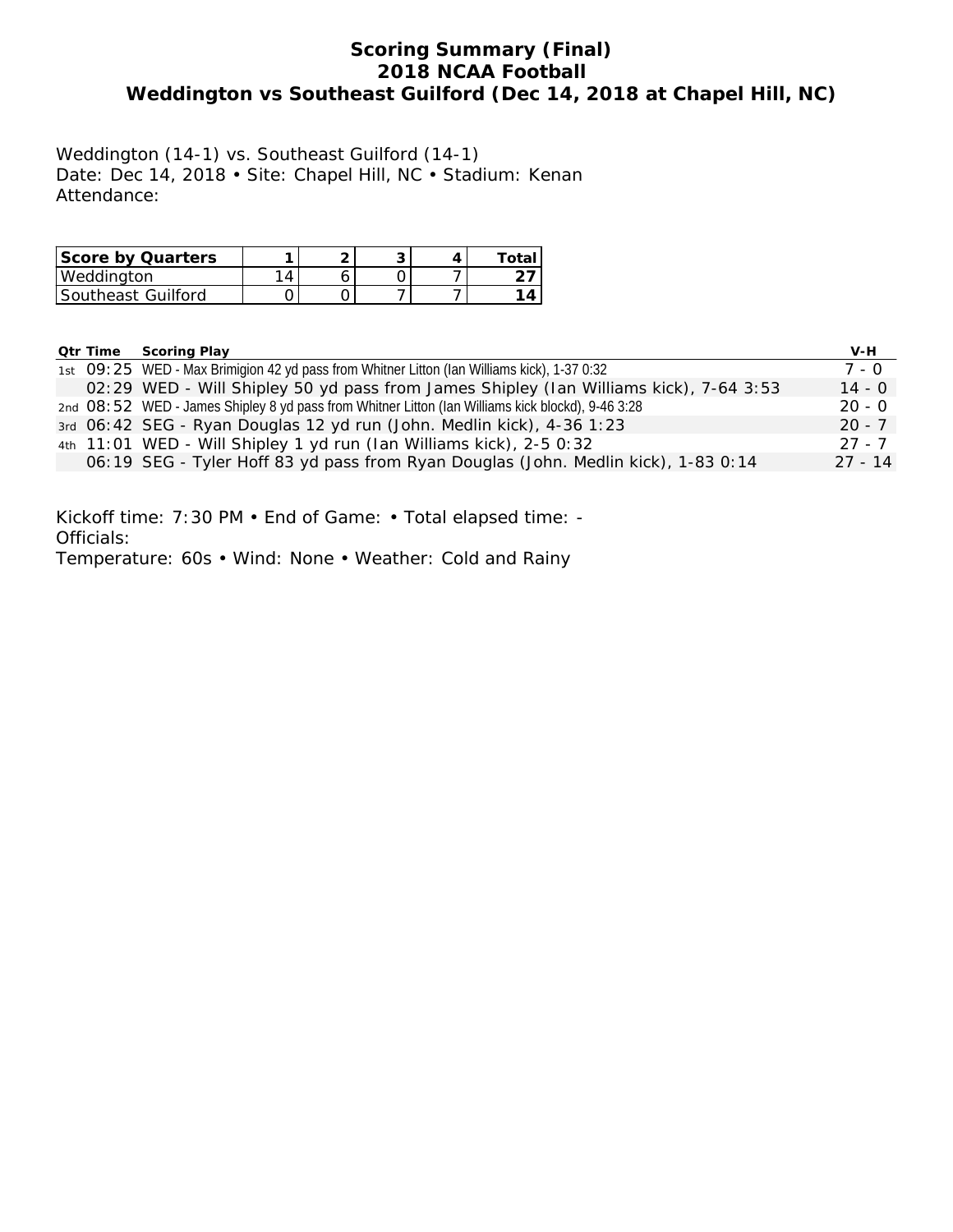# **Scoring Summary (Final) 2018 NCAA Football Weddington vs Southeast Guilford (Dec 14, 2018 at Chapel Hill, NC)**

Weddington (14-1) vs. Southeast Guilford (14-1) Date: Dec 14, 2018 • Site: Chapel Hill, NC • Stadium: Kenan Attendance:

| <b>Score by Quarters</b> |  |  | Total |
|--------------------------|--|--|-------|
| Weddinaton               |  |  |       |
| Southeast Guilford       |  |  | 4 ∆   |

| <b>Qtr Time</b> | <b>Scoring Play</b>                                                                               | V-H       |
|-----------------|---------------------------------------------------------------------------------------------------|-----------|
|                 | 1st O9: 25 WED - Max Brimigion 42 yd pass from Whitner Litton (Ian Williams kick), 1-37 0:32      | 7 - 0     |
|                 | 02:29 WED - Will Shipley 50 yd pass from James Shipley (Ian Williams kick), 7-64 3:53             | $14 - 0$  |
|                 | 2nd O8:52 WED - James Shipley 8 yd pass from Whitner Litton (Ian Williams kick blockd), 9-46 3:28 | $20 - 0$  |
|                 | 3rd 06:42 SEG - Ryan Douglas 12 yd run (John. Medlin kick), 4-36 1:23                             | $20 - 7$  |
|                 | 4th 11:01 WED - Will Shipley 1 yd run (Ian Williams kick), 2-5 0:32                               | $27 - 7$  |
|                 | 06:19 SEG - Tyler Hoff 83 yd pass from Ryan Douglas (John. Medlin kick), 1-83 0:14                | $27 - 14$ |

Kickoff time: 7:30 PM • End of Game: • Total elapsed time: - Officials: Temperature: 60s • Wind: None • Weather: Cold and Rainy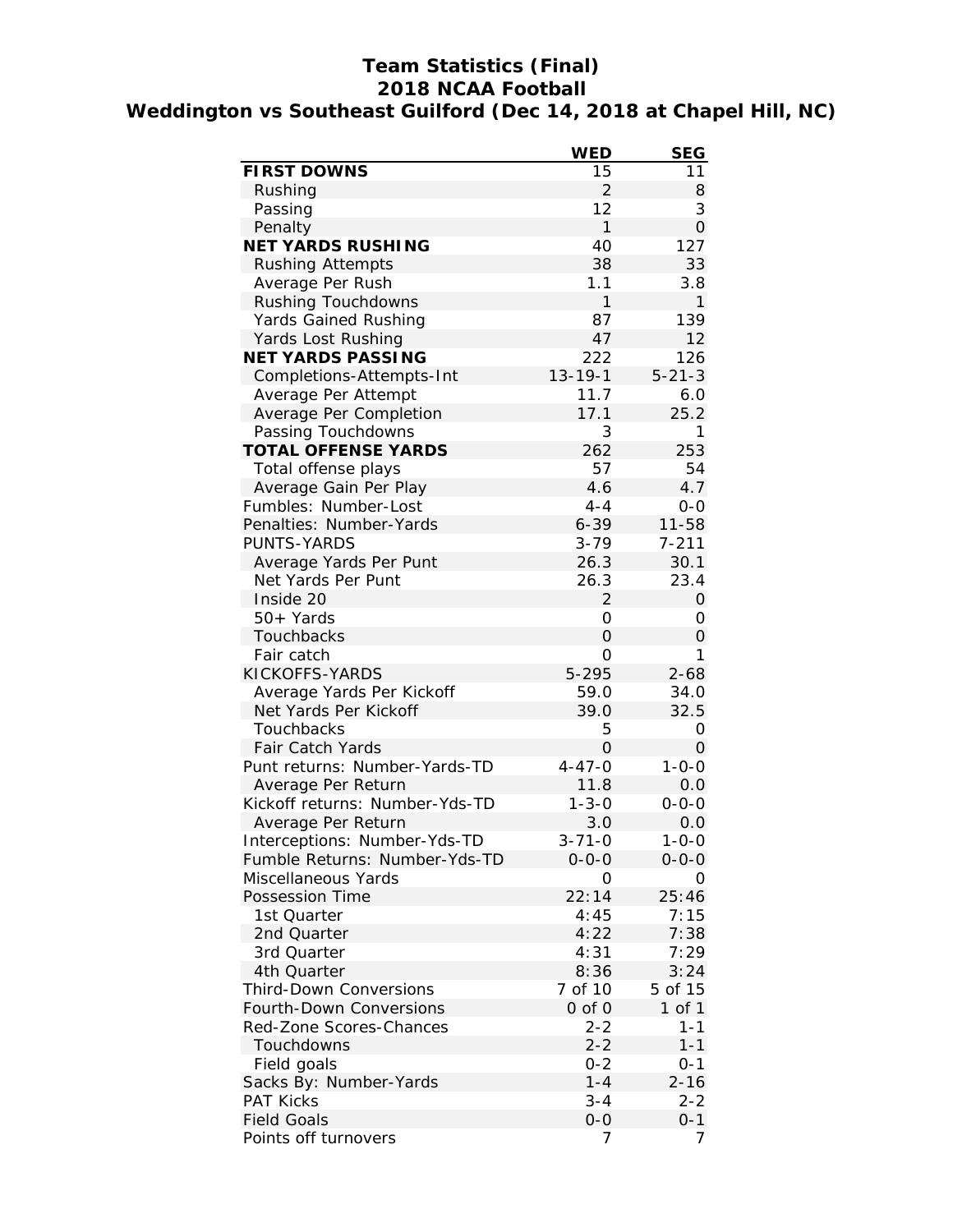# **Team Statistics (Final) 2018 NCAA Football Weddington vs Southeast Guilford (Dec 14, 2018 at Chapel Hill, NC)**

|                                | <b>WED</b>     | <b>SEG</b>     |
|--------------------------------|----------------|----------------|
| <b>FIRST DOWNS</b>             | 15             | 11             |
| Rushing                        | $\overline{2}$ | 8              |
| Passing                        | 12             | 3              |
| Penalty                        | 1              | $\overline{O}$ |
| <b>NET YARDS RUSHING</b>       | 40             | 127            |
| <b>Rushing Attempts</b>        | 38             | 33             |
| Average Per Rush               | 1.1            | 3.8            |
| Rushing Touchdowns             | $\mathbf{1}$   | 1              |
| <b>Yards Gained Rushing</b>    | 87             | 139            |
| Yards Lost Rushing             | 47             | 12             |
| <b>NET YARDS PASSING</b>       | 222            | 126            |
| Completions-Attempts-Int       | $13 - 19 - 1$  | $5 - 21 - 3$   |
| Average Per Attempt            | 11.7           | 6.0            |
| Average Per Completion         | 17.1           | 25.2           |
| Passing Touchdowns             | 3              | 1              |
| <b>TOTAL OFFENSE YARDS</b>     | 262            | 253            |
| Total offense plays            | 57             | 54             |
| Average Gain Per Play          | 4.6            | 4.7            |
| Fumbles: Number-Lost           | $4 - 4$        | 0-0            |
| Penalties: Number-Yards        | $6 - 39$       | $11 - 58$      |
| PUNTS-YARDS                    | $3 - 79$       | $7 - 211$      |
| Average Yards Per Punt         | 26.3           | 30.1           |
| Net Yards Per Punt             | 26.3           | 23.4           |
| Inside 20                      | 2              | 0              |
| $50+Yards$                     | 0              | 0              |
| Touchbacks                     | $\overline{O}$ | 0              |
| Fair catch                     | 0              | 1              |
| KICKOFFS-YARDS                 | 5-295          | $2 - 68$       |
| Average Yards Per Kickoff      | 59.0           | 34.0           |
| Net Yards Per Kickoff          | 39.0           | 32.5           |
| Touchbacks                     | 5              | 0              |
| Fair Catch Yards               | 0              | 0              |
| Punt returns: Number-Yards-TD  | $4 - 47 - 0$   | $1 - 0 - 0$    |
| Average Per Return             | 11.8           | 0.0            |
| Kickoff returns: Number-Yds-TD | $1 - 3 - 0$    | $0 - 0 - 0$    |
| Average Per Return             | 3.0            | 0.0            |
| Interceptions: Number-Yds-TD   | 3-71-0         | 1-0-0          |
| Fumble Returns: Number-Yds-TD  | $0 - 0 - 0$    | $0 - 0 - 0$    |
| Miscellaneous Yards            | 0              | Ο              |
| Possession Time                | 22:14          | 25:46          |
| 1st Quarter                    | 4:45           | 7:15           |
| 2nd Quarter                    | 4:22           | 7:38           |
| 3rd Quarter                    | 4:31           | 7:29           |
| 4th Quarter                    | 8:36           | 3:24           |
| <b>Third-Down Conversions</b>  | 7 of 10        | 5 of 15        |
| <b>Fourth-Down Conversions</b> | 0 of 0         | 1 of 1         |
| Red-Zone Scores-Chances        | $2 - 2$        | 1-1            |
| Touchdowns                     | $2 - 2$        | $1 - 1$        |
| Field goals                    | $0 - 2$        | $0 - 1$        |
| Sacks By: Number-Yards         | $1 - 4$        | $2 - 16$       |
| <b>PAT Kicks</b>               | $3 - 4$        | $2 - 2$        |
| <b>Field Goals</b>             | $0-0$          | 0-1            |
| Points off turnovers           | 7              | 7              |
|                                |                |                |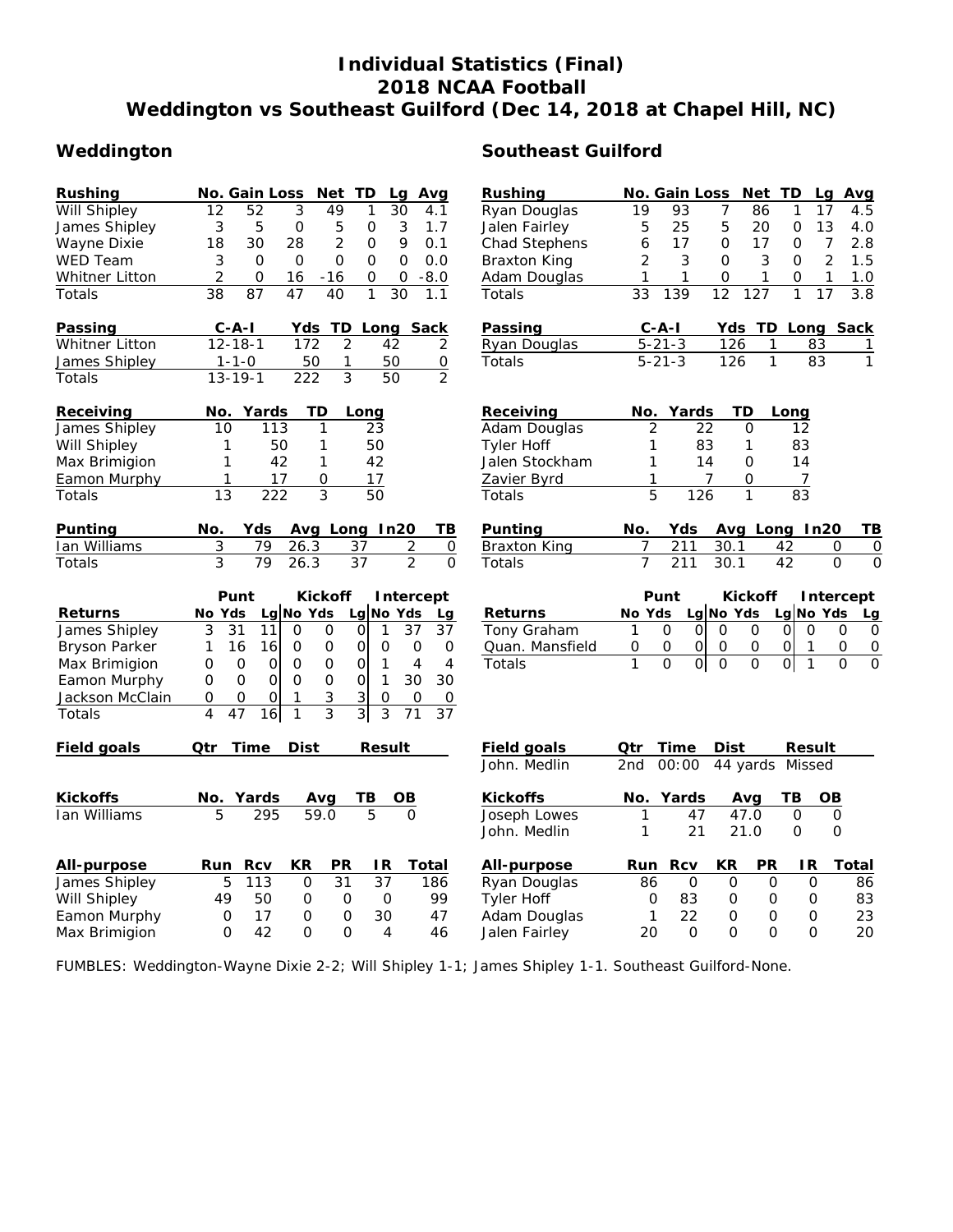# **Individual Statistics (Final) 2018 NCAA Football Weddington vs Southeast Guilford (Dec 14, 2018 at Chapel Hill, NC)**

| Rushing               | No. Gain Loss<br><b>Net</b><br>TD<br>Lg<br>Avg                                                            | <b>Rushing</b>      | Net TD<br>No. Gain Loss<br>Avg<br>Lq                                                                                    |
|-----------------------|-----------------------------------------------------------------------------------------------------------|---------------------|-------------------------------------------------------------------------------------------------------------------------|
| <b>Will Shipley</b>   | $\overline{12}$<br>$\overline{52}$<br>3<br>49<br>1<br>30<br>4.1                                           | Ryan Douglas        | 19<br>93<br>7<br>86<br>17<br>1<br>4.5                                                                                   |
| James Shipley         | 3<br>5<br>5<br>3<br>0<br>0<br>1.7                                                                         | Jalen Fairley       | 25<br>5<br>13<br>5<br>20<br>0<br>4.0                                                                                    |
| Wayne Dixie           | $\overline{2}$<br>18<br>30<br>28<br>9<br>0<br>0.1                                                         | Chad Stephens       | 6<br>17<br>$\Omega$<br>17<br>$\overline{7}$<br>2.8<br>0                                                                 |
| WED Team              | 3<br>0<br>0<br>0<br>0<br>0<br>0.0                                                                         | <b>Braxton King</b> | $\overline{2}$<br>3<br>$\overline{2}$<br>3<br>0<br>0<br>1.5                                                             |
| <b>Whitner Litton</b> | 2<br>0<br>0<br>$-8.0$<br>16<br>$-16$<br>0                                                                 | Adam Douglas        | 1<br>1<br>0<br>1<br>1<br>1.0<br>0                                                                                       |
| Totals                | 38<br>47<br>87<br>40<br>1<br>30<br>1.1                                                                    | Totals              | 33<br>12<br>127<br>3.8<br>139<br>1<br>17                                                                                |
| Passing               | $C - A - I$<br>Yds<br><b>TD Long Sack</b>                                                                 | Passing             | $C - A - I$<br>Yds TD Long Sack                                                                                         |
| Whitner Litton        | $12 - 18 - 1$<br>172<br>2<br>42<br>2                                                                      | Ryan Douglas        | $5 - 21 - 3$<br>126<br>1<br>83<br>1                                                                                     |
| James Shipley         | 50<br>1<br>50<br>0<br>$1 - 1 - 0$                                                                         | Totals              | 126<br>$\mathbf{1}$<br>$5 - 21 - 3$<br>83<br>1                                                                          |
| Totals                | 3<br>50<br>$\overline{2}$<br>$13 - 19 - 1$<br>222                                                         |                     |                                                                                                                         |
| Receiving             | Yards<br>TD<br>No.<br>Long                                                                                | Receiving           | No. Yards<br>TD<br>Long                                                                                                 |
| James Shipley         | 113<br>10<br>1<br>23                                                                                      | Adam Douglas        | 22<br>2<br>0<br>12                                                                                                      |
| Will Shipley          | 1<br>50<br>1<br>50                                                                                        | <b>Tyler Hoff</b>   | 83<br>$\mathbf{1}$<br>83<br>1                                                                                           |
| Max Brimigion         | 1<br>42<br>1<br>42                                                                                        | Jalen Stockham      | 1<br>14<br>0<br>14                                                                                                      |
| Eamon Murphy          | 17<br>0<br>17<br>1                                                                                        | Zavier Byrd         | 1<br>7<br>0<br>7                                                                                                        |
| Totals                | 3<br>13<br>222<br>50                                                                                      | Totals              | 5<br>126<br>1<br>83                                                                                                     |
| Punting               | No.<br>Yds<br>Avg Long In20<br>ΤВ                                                                         | Punting             | No.<br>Avg Long In20<br>TВ<br>Yds                                                                                       |
| Ian Williams          | 3<br>79<br>26.3<br>$\overline{c}$<br>37<br>$\mathsf{O}\xspace$                                            | <b>Braxton King</b> | 211<br>30.1<br>7<br>42<br>0<br>$\overline{0}$                                                                           |
| Totals                | 3<br>$\overline{79}$<br>$\overline{37}$<br>$\overline{2}$<br>26.3<br>$\Omega$                             | Totals              | $\overline{7}$<br>$\overline{0}$<br>211<br>30.1<br>$\Omega$<br>42                                                       |
|                       | Punt<br><b>Kickoff</b><br>Intercept                                                                       |                     | Punt<br><b>Kickoff</b><br>Intercept                                                                                     |
| <b>Returns</b>        | Lg No Yds<br>Lg No Yds<br>No Yds<br>Lg                                                                    | <b>Returns</b>      | Lg No Yds<br>Lg No Yds<br>No Yds<br>Lg                                                                                  |
| James Shipley         | 31<br>37<br>3<br>11<br>0<br>0<br>$\mathsf{O}\xspace$<br>$\mathbf{1}$<br>37                                | Tony Graham         | 1<br>$\Omega$<br>$\Omega$<br>$\Omega$<br>$\Omega$<br>$\Omega$<br>$\Omega$<br>0<br>0                                     |
| <b>Bryson Parker</b>  | 0<br>$\mathbf{O}$<br>1<br>16<br>16<br>0<br>$\circ$<br>0<br>0                                              | Quan. Mansfield     | 0<br>$\overline{0}$<br>0<br>$\overline{0}$<br>$\overline{O}$<br>0<br>0<br>1<br>0                                        |
| Max Brimigion         | $\mathbf 0$<br>$\mathbf 0$<br>$\mathbf 0$<br>$\mathbf 0$<br>0<br>$\mathbf{1}$<br>$\overline{4}$<br>4<br>0 | Totals              | $\overline{0}$<br>$\overline{0}$<br>$\mathbf{1}$<br>$\Omega$<br>$\overline{0}$<br>$\Omega$<br>$\Omega$<br>$\Omega$<br>1 |
| Eamon Murphy          | $\mathsf O$<br>$\mathbf{O}$<br>$\mathbf{O}$<br>$\mathbf 0$<br>$\mathbf{1}$<br>0<br>0<br>30<br>30          |                     |                                                                                                                         |
| Jackson McClain       | 3<br>3<br>$\circ$<br>0<br>0<br>0<br>0<br>0<br>1                                                           |                     |                                                                                                                         |
| Totals                | $\overline{3}$<br>$\overline{\mathcal{A}}$<br>3<br>3<br>47<br>37<br>16<br>$\mathbf{1}$<br>71              |                     |                                                                                                                         |
| Field goals           | Time<br>Dist<br>Qtr<br>Result                                                                             | <b>Field goals</b>  | Time<br>Qtr<br>Dist<br>Result                                                                                           |
|                       |                                                                                                           | John, Medlin        | 2 <sub>nd</sub><br>00:00<br>44 yards<br>Missed                                                                          |
| <b>Kickoffs</b>       | No. Yards<br>ΤВ<br>$\overline{OB}$<br>Avg                                                                 | <b>Kickoffs</b>     | <b>OB</b><br>Yards<br>ΤВ<br>No.<br>Avq                                                                                  |
| Ian Williams          | 5<br>5<br>295<br>59.0<br>$\Omega$                                                                         | Joseph Lowes        | 47<br>47.0<br>$\mathsf{O}\xspace$<br>0<br>1                                                                             |
|                       |                                                                                                           | John. Medlin        | $\mathbf 0$<br>1<br>21<br>21.0<br>0                                                                                     |
| All-purpose           | KR<br><b>PR</b><br>ΙR<br>Run<br><b>Rcv</b><br>Total                                                       | All-purpose         | <b>PR</b><br>IR.<br><b>Total</b><br>Run Rcv<br>KR                                                                       |
| James Shipley         | $\mathsf{O}$<br>31<br>37<br>5<br>113<br>186                                                               | Ryan Douglas        | $\Omega$<br>86<br>0<br>O<br>0<br>86                                                                                     |
| Will Shipley          | 49<br>50<br>0<br>99<br>0<br>0                                                                             | <b>Tyler Hoff</b>   | 83<br>O<br>0<br>0<br>83<br>0                                                                                            |
| Eamon Murphy          | 17<br>0<br>30<br>47<br>0<br>0                                                                             | Adam Douglas        | 22<br>$\mathbf{1}$<br>$\Omega$<br>$\Omega$<br>23<br>0                                                                   |
| Max Brimigion         | 42<br>O<br>$\Omega$<br>$\Omega$<br>4<br>46                                                                | Jalen Fairley       | 20<br>$\Omega$<br>O<br>0<br>O<br>20                                                                                     |

FUMBLES: Weddington-Wayne Dixie 2-2; Will Shipley 1-1; James Shipley 1-1. Southeast Guilford-None.

# Weddington **Southeast Guilford**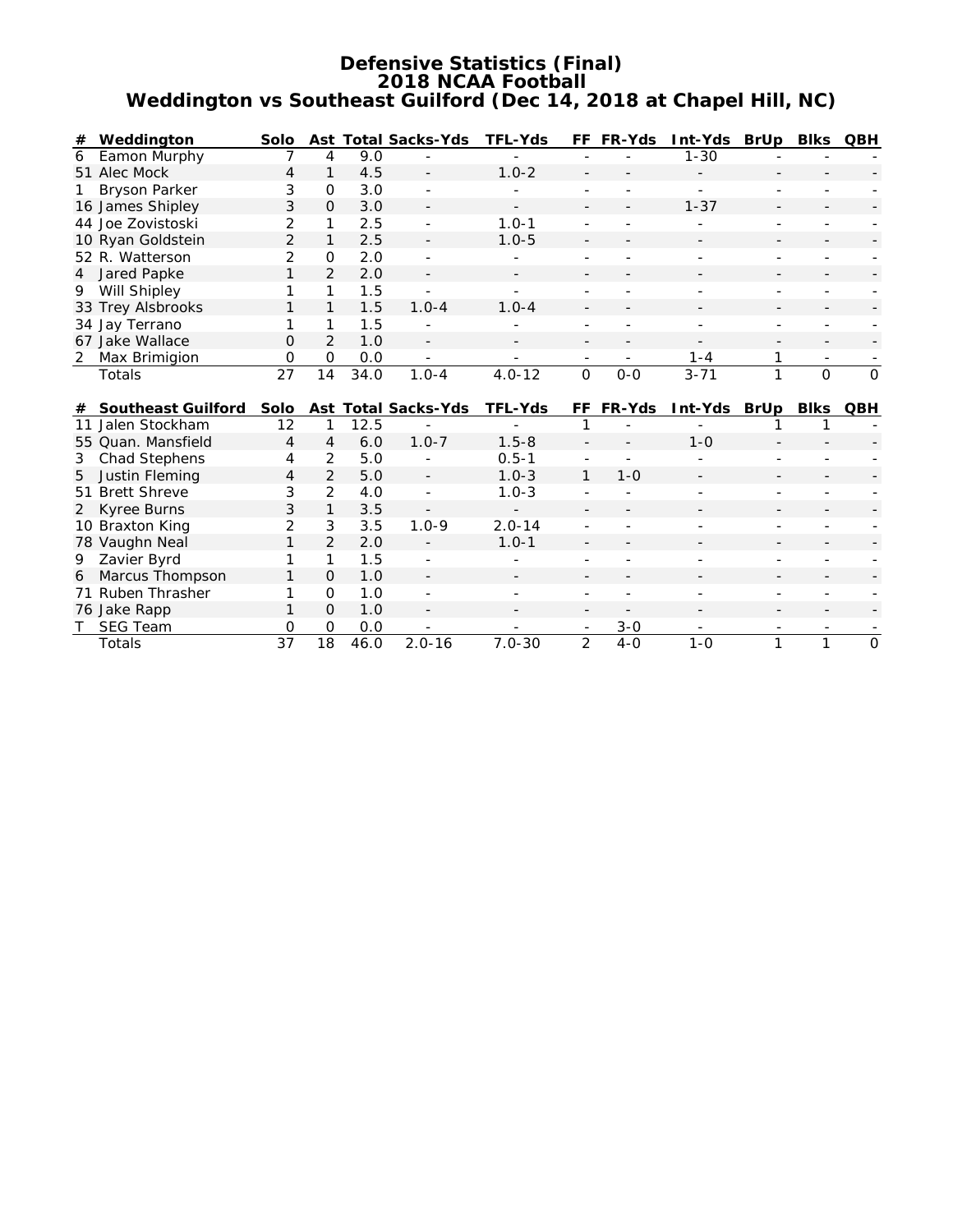### **Defensive Statistics (Final) 2018 NCAA Football Weddington vs Southeast Guilford (Dec 14, 2018 at Chapel Hill, NC)**

| # | Weddington        | <b>Solo</b>   |               |      | <b>Ast Total Sacks-Yds</b> | <b>TFL-Yds</b>           |                          | FF FR-Yds                | Int-Yds                  | BrUp Blks                |          | <b>QBH</b>  |
|---|-------------------|---------------|---------------|------|----------------------------|--------------------------|--------------------------|--------------------------|--------------------------|--------------------------|----------|-------------|
| 6 | Eamon Murphy      |               | 4             | 9.0  |                            |                          |                          |                          | $1 - 30$                 |                          |          |             |
|   | 51 Alec Mock      | 4             |               | 4.5  | $\overline{\phantom{0}}$   | $1.0 - 2$                | $\overline{\phantom{a}}$ |                          |                          |                          |          |             |
|   | 1 Bryson Parker   | 3             | $\Omega$      | 3.0  | $\overline{\phantom{a}}$   |                          |                          |                          |                          |                          |          |             |
|   | 16 James Shipley  | 3             | $\Omega$      | 3.0  | $\overline{\phantom{a}}$   | $\overline{\phantom{0}}$ | $\overline{\phantom{a}}$ | $\overline{\phantom{a}}$ | $1 - 37$                 | $\overline{\phantom{a}}$ |          |             |
|   | 44 Joe Zovistoski | 2             |               | 2.5  | ÷                          | $1.0 - 1$                |                          |                          |                          |                          |          |             |
|   | 10 Ryan Goldstein | $\mathcal{P}$ |               | 2.5  | $\overline{\phantom{0}}$   | $1.0 - 5$                | $\overline{\phantom{a}}$ | $\overline{\phantom{a}}$ | $\overline{\phantom{0}}$ | $\overline{\phantom{a}}$ |          |             |
|   | 52 R. Watterson   |               | $\Omega$      | 2.0  |                            |                          |                          |                          |                          |                          |          |             |
|   | 4 Jared Papke     |               | $\mathcal{P}$ | 2.0  |                            |                          |                          |                          |                          |                          |          |             |
| 9 | Will Shipley      |               |               | 1.5  |                            |                          |                          |                          |                          |                          |          |             |
|   | 33 Trey Alsbrooks |               |               | 1.5  | $1.0 - 4$                  | $1.0 - 4$                | $\overline{\phantom{a}}$ |                          | $\overline{\phantom{0}}$ |                          |          |             |
|   | 34 Jay Terrano    |               |               | 1.5  |                            |                          |                          |                          |                          |                          |          |             |
|   | 67 Jake Wallace   | $\Omega$      | 2             | 1.0  | $\overline{\phantom{0}}$   |                          | -                        | -                        |                          |                          |          |             |
| 2 | Max Brimigion     | 0             | $\Omega$      | 0.0  | -                          |                          |                          |                          | 1-4                      |                          |          |             |
|   | Totals            | 27            | 14            | 34.0 | $1.0 - 4$                  | $4.0 - 12$               | $\Omega$                 | $0 - 0$                  | $3 - 71$                 |                          | $\Omega$ | $\mathbf 0$ |

| # | <b>Southeast Guilford</b> | Solo          |               |      | <b>Ast Total Sacks-Yds</b> | <b>TFL-Yds</b> |               | FF FR-Yds | Int-Yds                  | BrUp                     | <b>Blks</b> | <b>QBH</b> |
|---|---------------------------|---------------|---------------|------|----------------------------|----------------|---------------|-----------|--------------------------|--------------------------|-------------|------------|
|   | 11 Jalen Stockham         | 12            |               | 12.5 |                            |                |               |           |                          |                          |             |            |
|   | 55 Quan. Mansfield        | 4             | 4             | 6.0  | $1.0 - 7$                  | $1.5 - 8$      |               |           | $1 - 0$                  | $\overline{\phantom{0}}$ |             |            |
|   | 3 Chad Stephens           | 4             | 2             | 5.0  |                            | $0.5 - 1$      |               |           |                          |                          |             |            |
|   | 5 Justin Fleming          | 4             | $\mathcal{L}$ | 5.0  |                            | $1.0 - 3$      |               | 1-0       | $\overline{\phantom{0}}$ |                          |             |            |
|   | 51 Brett Shreve           | 3             | $\mathcal{P}$ | 4.0  |                            | $1.0 - 3$      |               |           |                          |                          |             |            |
|   | 2 Kyree Burns             | 3             |               | 3.5  | $\overline{a}$             | $\sim$         |               |           |                          |                          |             |            |
|   | 10 Braxton King           | $\mathcal{P}$ | 3             | 3.5  | $1.0 - 9$                  | $2.0 - 14$     |               |           |                          |                          |             |            |
|   | 78 Vaughn Neal            |               | $\mathcal{P}$ | 2.0  |                            | $1.0 - 1$      |               |           |                          |                          |             |            |
| 9 | Zavier Byrd               |               |               | 1.5  |                            |                |               |           |                          |                          |             |            |
|   | 6 Marcus Thompson         |               | $\Omega$      | 1.0  |                            |                |               |           |                          |                          |             |            |
|   | 71 Ruben Thrasher         |               | $\Omega$      | 1.0  |                            |                |               |           |                          |                          |             |            |
|   | 76 Jake Rapp              |               | $\Omega$      | 1.0  |                            |                |               |           |                          |                          |             |            |
|   | <b>SEG Team</b>           | 0             | $\Omega$      | 0.0  |                            |                |               | $3-0$     |                          |                          |             |            |
|   | Totals                    | 37            | 18            | 46.0 | $2.0 - 16$                 | $7.0 - 30$     | $\mathcal{P}$ | $4 - 0$   | 1-0                      |                          |             | O          |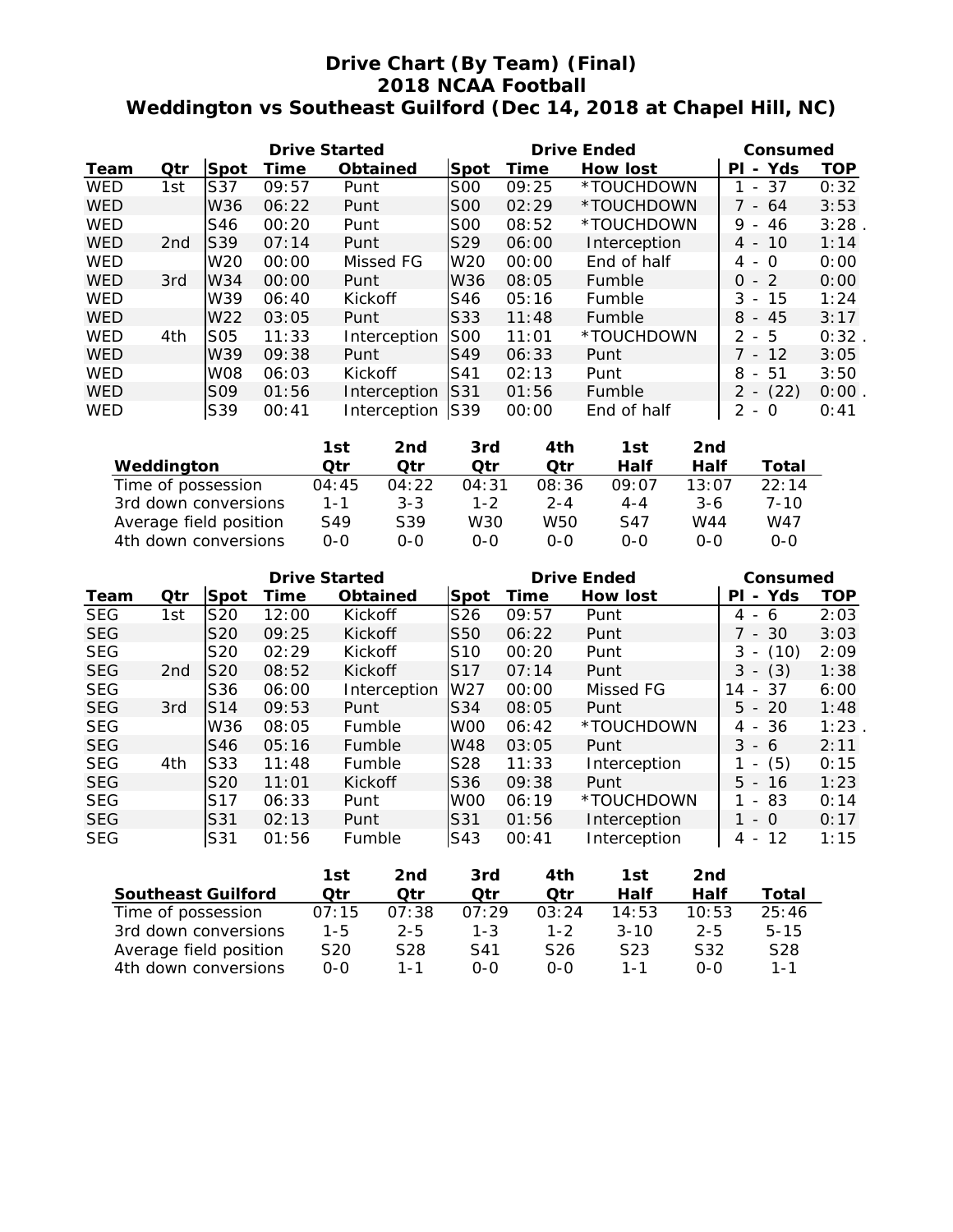# **Drive Chart (By Team) (Final) 2018 NCAA Football Weddington vs Southeast Guilford (Dec 14, 2018 at Chapel Hill, NC)**

|            |                 |                 | <b>Drive Started</b> |              |                 | <b>Drive Ended</b> | Consumed        |                                     |      |
|------------|-----------------|-----------------|----------------------|--------------|-----------------|--------------------|-----------------|-------------------------------------|------|
| Team       | Qtr             | <b>Spot</b>     | Time                 | Obtained     | Spot            | Time               | <b>How lost</b> | - Yds<br>ΡI                         | TOP  |
| <b>WED</b> | 1st             | S37             | 09:57                | Punt         | <b>S00</b>      | 09:25              | *TOUCHDOWN      | 37<br>$\blacksquare$                | 0:32 |
| <b>WED</b> |                 | W36             | 06:22                | Punt         | SOO             | 02:29              | *TOUCHDOWN      | 7 - 64                              | 3:53 |
| <b>WED</b> |                 | S46             | 00:20                | Punt         | <b>S00</b>      | 08:52              | *TOUCHDOWN      | 9<br>46<br>$\sim$                   | 3:28 |
| <b>WED</b> | 2 <sub>nd</sub> | <b>S39</b>      | 07:14                | Punt         | S <sub>29</sub> | 06:00              | Interception    | $4 - 10$                            | 1:14 |
| <b>WED</b> |                 | W <sub>20</sub> | 00:00                | Missed FG    | W <sub>20</sub> | 00:00              | End of half     | $4 - 0$                             | 0:00 |
| <b>WED</b> | 3rd             | W34             | 00:00                | Punt         | W36             | 08:05              | Fumble          | $0 - 2$                             | 0:00 |
| <b>WED</b> |                 | W39             | 06:40                | Kickoff      | S46             | 05:16              | Fumble          | $-15$<br>3                          | 1:24 |
| <b>WED</b> |                 | W <sub>22</sub> | 03:05                | Punt         | S33             | 11:48              | Fumble          | $8 - 45$                            | 3:17 |
| <b>WED</b> | 4th             | S <sub>05</sub> | 11:33                | Interception | <b>S00</b>      | 11:01              | *TOUCHDOWN      | $2 - 5$                             | 0:32 |
| <b>WED</b> |                 | W39             | 09:38                | Punt         | <b>S49</b>      | 06:33              | Punt            | 7 - 12                              | 3:05 |
| <b>WED</b> |                 | <b>W08</b>      | 06:03                | Kickoff      | S41             | 02:13              | Punt            | $-51$<br>8                          | 3:50 |
| <b>WED</b> |                 | S <sub>09</sub> | 01:56                | Interception | S31             | 01:56              | Fumble          | $2 - (22)$                          | 0:00 |
| <b>WED</b> |                 | S39             | 00:41                | Interception | S39             | 00:00              | End of half     | $\mathcal{P}$<br>$\Omega$<br>$\sim$ | 0:41 |

|                        | 1st     | 2nd     | 3rd     | 4th     | 1st     | 2nd   |          |
|------------------------|---------|---------|---------|---------|---------|-------|----------|
| Weddington             | Qtr     | Otr     | Otr     | Otr     | Half    | Half  | Total    |
| Time of possession     | 04:45   | 04:22   | 04:31   | 08:36   | 09:07   | 13:07 | 22:14    |
| 3rd down conversions   | 1-1     | $3 - 3$ | $1 - 2$ | $2 - 4$ | $4 - 4$ | $3-6$ | $7 - 10$ |
| Average field position | S49     | S39     | W30     | W50     | S47     | W44   | W47      |
| 4th down conversions   | $0 - 0$ | 0-0     | $O-O$   | $0 - 0$ | $0 - 0$ | 0-0   | 0-0      |

|            |                 |                 | <b>Drive Started</b> |                 |                 | <b>Drive Ended</b> | Consumed        |                                     |            |
|------------|-----------------|-----------------|----------------------|-----------------|-----------------|--------------------|-----------------|-------------------------------------|------------|
| Team       | Qtr             | Spot            | Time                 | <b>Obtained</b> | Spot            | Time               | <b>How lost</b> | - Yds<br>ΡI                         | <b>TOP</b> |
| <b>SEG</b> | 1st             | S20             | 12:00                | Kickoff         | S26             | 09:57              | Punt            | 4<br>6<br>$\overline{\phantom{a}}$  | 2:03       |
| <b>SEG</b> |                 | S <sub>20</sub> | 09:25                | Kickoff         | S <sub>50</sub> | 06:22              | Punt            | 7 - 30                              | 3:03       |
| <b>SEG</b> |                 | S <sub>20</sub> | 02:29                | Kickoff         | S <sub>10</sub> | 00:20              | Punt            | 3<br>(10)                           | 2:09       |
| <b>SEG</b> | 2 <sub>nd</sub> | S <sub>20</sub> | 08:52                | Kickoff         | S <sub>17</sub> | 07:14              | Punt            | (3)<br>3                            | 1:38       |
| <b>SEG</b> |                 | S36             | 06:00                | Interception    | W27             | 00:00              | Missed FG       | 37<br>14<br>$\sim$                  | 6:00       |
| <b>SEG</b> | 3rd             | S14             | 09:53                | Punt            | S34             | 08:05              | Punt            | $5 - 20$                            | 1:48       |
| <b>SEG</b> |                 | W36             | 08:05                | Fumble          | W <sub>00</sub> | 06:42              | *TOUCHDOWN      | 4 - 36                              | 1:23       |
| <b>SEG</b> |                 | S46             | 05:16                | Fumble          | W48             | 03:05              | Punt            | 3<br>- 6                            | 2:11       |
| <b>SEG</b> | 4th             | S <sub>33</sub> | 11:48                | Fumble          | S28             | 11:33              | Interception    | (5)                                 | 0:15       |
| <b>SEG</b> |                 | S <sub>20</sub> | 11:01                | Kickoff         | S36             | 09:38              | Punt            | $5 -$<br>16                         | 1:23       |
| <b>SEG</b> |                 | S <sub>17</sub> | 06:33                | Punt            | W <sub>00</sub> | 06:19              | *TOUCHDOWN      | 83<br>$\overline{\phantom{0}}$      | 0:14       |
| <b>SEG</b> |                 | S31             | 02:13                | Punt            | S31             | 01:56              | Interception    | $-0$                                | 0:17       |
| <b>SEG</b> |                 | S31             | 01:56                | Fumble          | S43             | 00:41              | Interception    | 12<br>4<br>$\overline{\phantom{a}}$ | 1:15       |

|                           | 1st     | 2nd     | 3rd     | 4th             | 1st              | 2nd     |                 |
|---------------------------|---------|---------|---------|-----------------|------------------|---------|-----------------|
| <b>Southeast Guilford</b> | Otr     | Otr     | Otr     | Otr             | Half             | Half    | Total           |
| Time of possession        | 07:15   | 07:38   | 07:29   | 03:24           | 14:53            | 10:53   | 25:46           |
| 3rd down conversions      | $1 - 5$ | $2 - 5$ | $1 - 3$ | $1 - 2$         | $3 - 10$         | $2 - 5$ | $5 - 15$        |
| Average field position    | S20     | S28     | S41     | S <sub>26</sub> | S <sub>2</sub> 3 | S32     | S <sub>28</sub> |
| 4th down conversions      | $O-O$   | 1 - 1   | ი-ი     | $O-O$           | 1 - 1            | 0-0     | $1 - 1$         |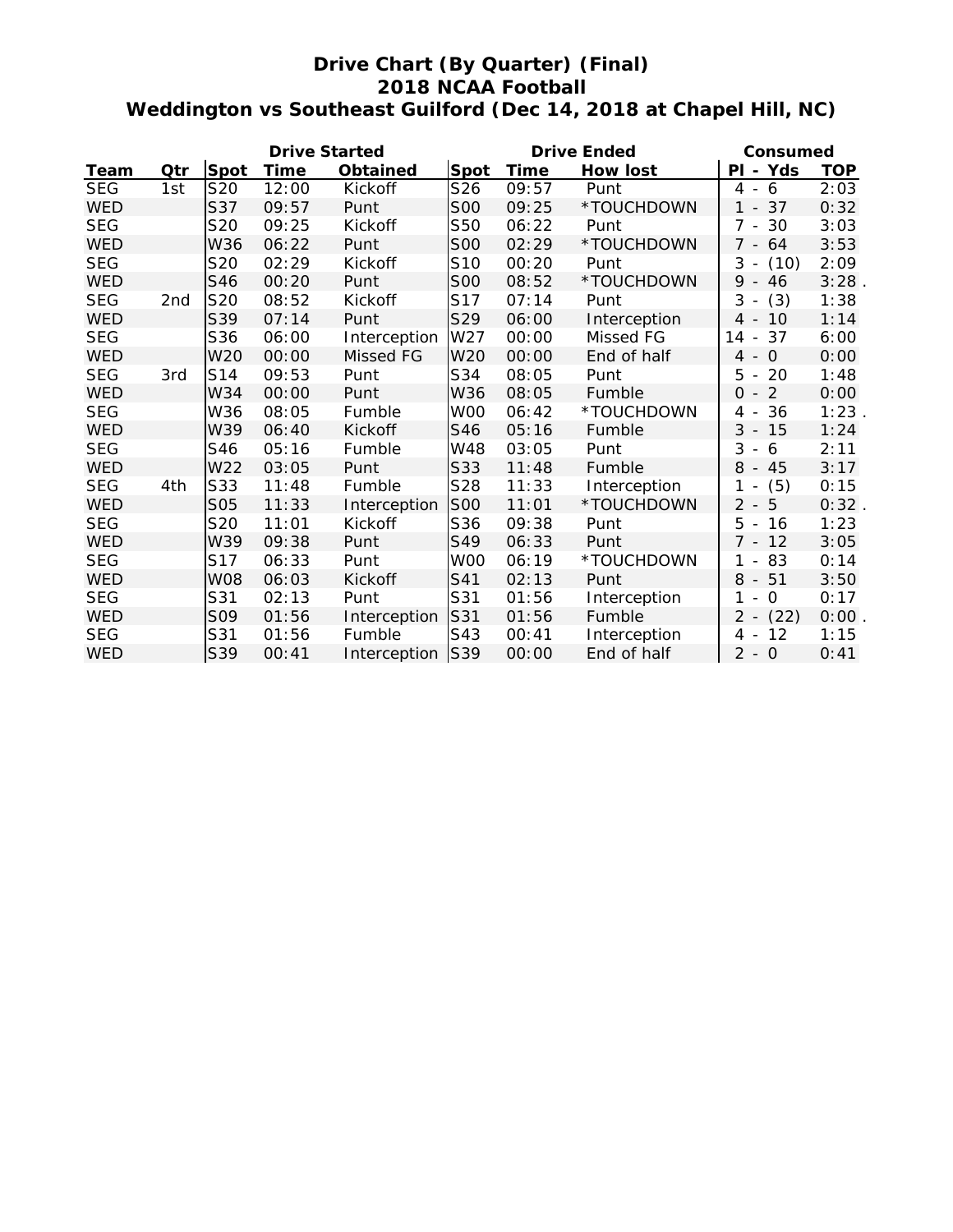# **Drive Chart (By Quarter) (Final) 2018 NCAA Football Weddington vs Southeast Guilford (Dec 14, 2018 at Chapel Hill, NC)**

|            |                 |             | <b>Drive Started</b> |                 |                 |             | <b>Drive Ended</b> | Consumed                                        |            |  |
|------------|-----------------|-------------|----------------------|-----------------|-----------------|-------------|--------------------|-------------------------------------------------|------------|--|
| Team       | Qtr             | <b>Spot</b> | Time                 | <b>Obtained</b> | Spot            | <b>Time</b> | <b>How lost</b>    | PI - Yds                                        | <b>TOP</b> |  |
| <b>SEG</b> | 1st             | S20         | 12:00                | Kickoff         | S26             | 09:57       | Punt               | 4<br>- 6                                        | 2:03       |  |
| <b>WED</b> |                 | S37         | 09:57                | Punt            | <b>SOO</b>      | 09:25       | *TOUCHDOWN         | 37<br>1<br>$\sim$                               | 0:32       |  |
| <b>SEG</b> |                 | S20         | 09:25                | Kickoff         | S50             | 06:22       | Punt               | $7 - 30$                                        | 3:03       |  |
| <b>WED</b> |                 | W36         | 06:22                | Punt            | <b>SOO</b>      | 02:29       | *TOUCHDOWN         | 7 - 64                                          | 3:53       |  |
| <b>SEG</b> |                 | S20         | 02:29                | Kickoff         | S <sub>10</sub> | 00:20       | Punt               | 3<br>(10)<br>$\overline{\phantom{a}}$           | 2:09       |  |
| <b>WED</b> |                 | S46         | 00:20                | Punt            | <b>S00</b>      | 08:52       | *TOUCHDOWN         | 9<br>46<br>$\overline{\phantom{a}}$             | 3:28       |  |
| <b>SEG</b> | 2 <sub>nd</sub> | S20         | 08:52                | Kickoff         | S17             | 07:14       | Punt               | 3<br>(3)                                        | 1:38       |  |
| <b>WED</b> |                 | S39         | 07:14                | Punt            | S29             | 06:00       | Interception       | $4 -$<br>10                                     | 1:14       |  |
| <b>SEG</b> |                 | S36         | 06:00                | Interception    | W <sub>27</sub> | 00:00       | Missed FG          | 37<br>14<br>$\overline{\phantom{a}}$            | 6:00       |  |
| <b>WED</b> |                 | W20         | 00:00                | Missed FG       | W20             | 00:00       | End of half        | $\Omega$<br>4<br>$\sim$                         | 0:00       |  |
| <b>SEG</b> | 3rd             | S14         | 09:53                | Punt            | S34             | 08:05       | Punt               | 5<br>20<br>$\overline{\phantom{a}}$             | 1:48       |  |
| <b>WED</b> |                 | W34         | 00:00                | Punt            | W36             | 08:05       | Fumble             | 2<br>$\Omega$<br>$\overline{\phantom{a}}$       | 0:00       |  |
| <b>SEG</b> |                 | W36         | 08:05                | Fumble          | W <sub>00</sub> | 06:42       | *TOUCHDOWN         | 36<br>4<br>$\overline{\phantom{a}}$             | 1:23       |  |
| <b>WED</b> |                 | W39         | 06:40                | Kickoff         | S46             | 05:16       | Fumble             | 3<br>15<br>$\overline{\phantom{a}}$             | 1:24       |  |
| <b>SEG</b> |                 | S46         | 05:16                | Fumble          | W48             | 03:05       | Punt               | 3<br>6<br>$\overline{\phantom{a}}$              | 2:11       |  |
| <b>WED</b> |                 | W22         | 03:05                | Punt            | S33             | 11:48       | Fumble             | 8<br>$-45$                                      | 3:17       |  |
| <b>SEG</b> | 4th             | S33         | 11:48                | Fumble          | S28             | 11:33       | Interception       | 1<br>(5)<br>$\overline{\phantom{a}}$            | 0:15       |  |
| <b>WED</b> |                 | <b>S05</b>  | 11:33                | Interception    | <b>S00</b>      | 11:01       | *TOUCHDOWN         | 5<br>$\overline{2}$<br>$\overline{\phantom{a}}$ | 0:32       |  |
| <b>SEG</b> |                 | S20         | 11:01                | Kickoff         | S36             | 09:38       | Punt               | 5<br>16<br>$\overline{\phantom{a}}$             | 1:23       |  |
| <b>WED</b> |                 | W39         | 09:38                | Punt            | S49             | 06:33       | Punt               | $7 - 12$                                        | 3:05       |  |
| <b>SEG</b> |                 | S17         | 06:33                | Punt            | W <sub>00</sub> | 06:19       | *TOUCHDOWN         | 1<br>83<br>$\overline{\phantom{a}}$             | 0:14       |  |
| <b>WED</b> |                 | <b>W08</b>  | 06:03                | Kickoff         | S41             | 02:13       | Punt               | 8<br>$-51$                                      | 3:50       |  |
| <b>SEG</b> |                 | S31         | 02:13                | Punt            | S31             | 01:56       | Interception       | 1<br>0<br>$\overline{\phantom{a}}$              | 0:17       |  |
| <b>WED</b> |                 | S09         | 01:56                | Interception    | S31             | 01:56       | Fumble             | (22)<br>2<br>$\overline{\phantom{a}}$           | 0:00       |  |
| <b>SEG</b> |                 | S31         | 01:56                | Fumble          | S43             | 00:41       | Interception       | 12<br>4<br>$\overline{\phantom{a}}$             | 1:15       |  |
| <b>WED</b> |                 | S39         | 00:41                | Interception    | <b>S39</b>      | 00:00       | End of half        | $2 - 0$                                         | 0:41       |  |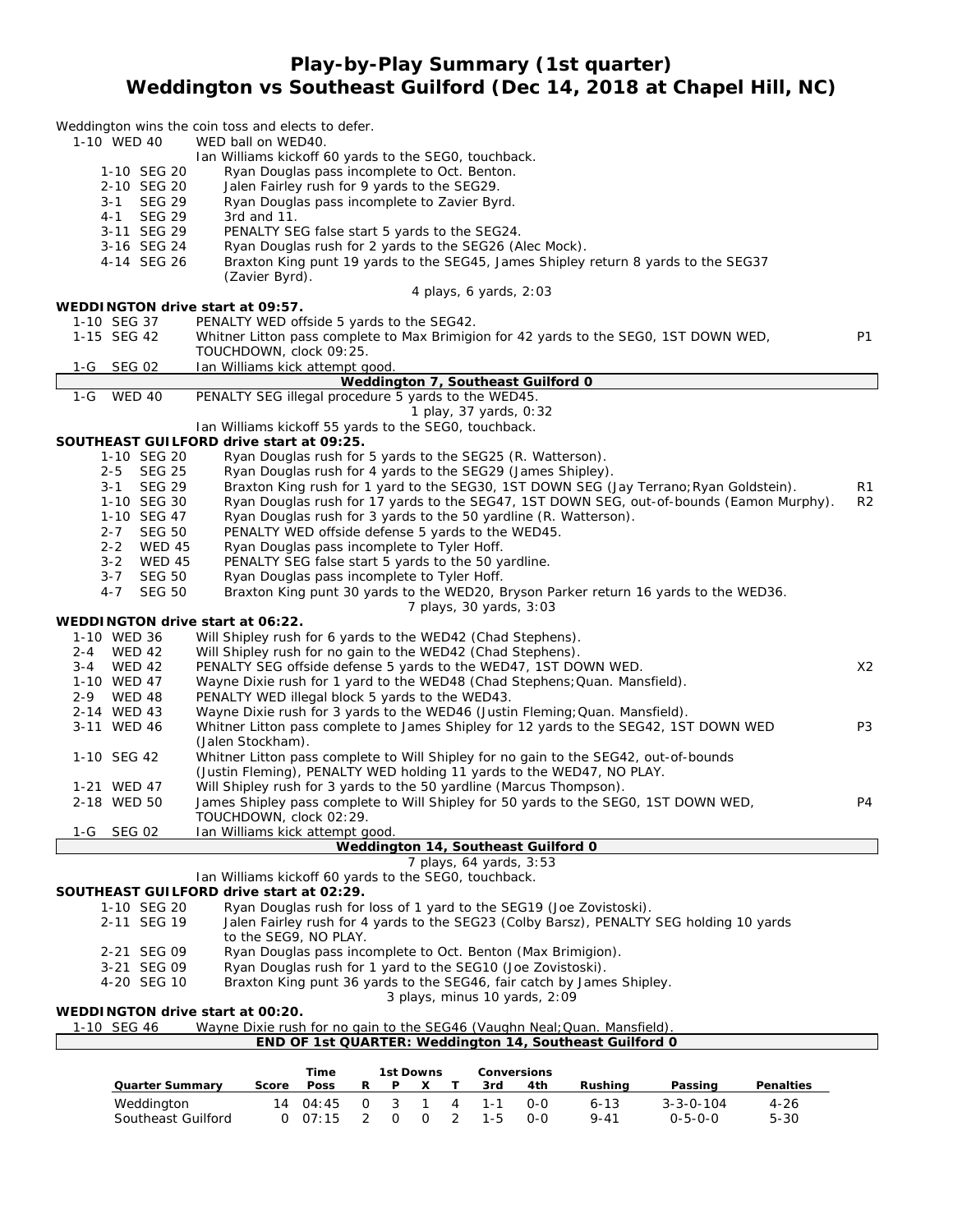## **Play-by-Play Summary (1st quarter) Weddington vs Southeast Guilford (Dec 14, 2018 at Chapel Hill, NC)**

|                                  | Weddington wins the coin toss and elects to defer.                                       |                |
|----------------------------------|------------------------------------------------------------------------------------------|----------------|
| 1-10 WED 40                      | WED ball on WED40.                                                                       |                |
|                                  | Ian Williams kickoff 60 yards to the SEG0, touchback.                                    |                |
| 1-10 SEG 20                      | Ryan Douglas pass incomplete to Oct. Benton.                                             |                |
| 2-10 SEG 20                      | Jalen Fairley rush for 9 yards to the SEG29.                                             |                |
| <b>SEG 29</b><br>$3 - 1$         | Ryan Douglas pass incomplete to Zavier Byrd.                                             |                |
| <b>SEG 29</b><br>$4 - 1$         | 3rd and $11$ .                                                                           |                |
| 3-11 SEG 29                      | PENALTY SEG false start 5 yards to the SEG24.                                            |                |
| 3-16 SEG 24                      | Ryan Douglas rush for 2 yards to the SEG26 (Alec Mock).                                  |                |
| 4-14 SEG 26                      | Braxton King punt 19 yards to the SEG45, James Shipley return 8 yards to the SEG37       |                |
|                                  | (Zavier Byrd).                                                                           |                |
|                                  | 4 plays, 6 yards, $2:03$                                                                 |                |
| WEDDINGTON drive start at 09:57. |                                                                                          |                |
| 1-10 SEG 37                      | PENALTY WED offside 5 yards to the SEG42.                                                |                |
| 1-15 SEG 42                      | Whitner Litton pass complete to Max Brimigion for 42 yards to the SEG0, 1ST DOWN WED,    | P1             |
|                                  | TOUCHDOWN, clock 09:25.                                                                  |                |
| 1-G SEG 02                       | Ian Williams kick attempt good.                                                          |                |
|                                  | Weddington 7, Southeast Guilford 0                                                       |                |
| 1-G WED 40                       | PENALTY SEG illegal procedure 5 yards to the WED45.                                      |                |
|                                  | 1 play, 37 yards, 0:32                                                                   |                |
|                                  | Ian Williams kickoff 55 yards to the SEG0, touchback.                                    |                |
|                                  | SOUTHEAST GUILFORD drive start at 09:25.                                                 |                |
| 1-10 SEG 20                      | Ryan Douglas rush for 5 yards to the SEG25 (R. Watterson).                               |                |
| $2 - 5$<br><b>SEG 25</b>         | Ryan Douglas rush for 4 yards to the SEG29 (James Shipley).                              |                |
| <b>SEG 29</b><br>$3 - 1$         | Braxton King rush for 1 yard to the SEG30, 1ST DOWN SEG (Jay Terrano; Ryan Goldstein).   | R1             |
| 1-10 SEG 30                      | Ryan Douglas rush for 17 yards to the SEG47, 1ST DOWN SEG, out-of-bounds (Eamon Murphy). | R2             |
| 1-10 SEG 47                      | Ryan Douglas rush for 3 yards to the 50 yardline (R. Watterson).                         |                |
| 2-7 SEG 50                       | PENALTY WED offside defense 5 yards to the WED45.                                        |                |
| $2 - 2$<br><b>WED 45</b>         | Ryan Douglas pass incomplete to Tyler Hoff.                                              |                |
| 3-2 WED 45                       | PENALTY SEG false start 5 yards to the 50 yardline.                                      |                |
| $3 - 7$<br><b>SEG 50</b>         | Ryan Douglas pass incomplete to Tyler Hoff.                                              |                |
| $4 - 7$<br><b>SEG 50</b>         | Braxton King punt 30 yards to the WED20, Bryson Parker return 16 yards to the WED36.     |                |
|                                  | 7 plays, 30 yards, 3:03                                                                  |                |
| WEDDINGTON drive start at 06:22. |                                                                                          |                |
| 1-10 WED 36                      | Will Shipley rush for 6 yards to the WED42 (Chad Stephens).                              |                |
| 2-4 WED 42                       | Will Shipley rush for no gain to the WED42 (Chad Stephens).                              |                |
| 3-4 WED 42                       | PENALTY SEG offside defense 5 yards to the WED47, 1ST DOWN WED.                          | X2             |
| 1-10 WED 47                      | Wayne Dixie rush for 1 yard to the WED48 (Chad Stephens; Quan. Mansfield).               |                |
| 2-9 WED 48                       | PENALTY WED illegal block 5 yards to the WED43.                                          |                |
| 2-14 WED 43                      | Wayne Dixie rush for 3 yards to the WED46 (Justin Fleming; Quan. Mansfield).             |                |
| 3-11 WED 46                      | Whitner Litton pass complete to James Shipley for 12 yards to the SEG42, 1ST DOWN WED    | P <sub>3</sub> |
|                                  | (Jalen Stockham).                                                                        |                |
| 1-10 SEG 42                      | Whitner Litton pass complete to Will Shipley for no gain to the SEG42, out-of-bounds     |                |
|                                  | (Justin Fleming), PENALTY WED holding 11 yards to the WED47, NO PLAY.                    |                |
| 1-21 WED 47                      | Will Shipley rush for 3 yards to the 50 yardline (Marcus Thompson).                      |                |
| 2-18 WED 50                      | James Shipley pass complete to Will Shipley for 50 yards to the SEG0, 1ST DOWN WED,      | P4             |
|                                  | TOUCHDOWN, clock 02:29.                                                                  |                |
| 1-G SEG 02                       | Ian Williams kick attempt good.                                                          |                |
|                                  | Weddington 14, Southeast Guilford 0                                                      |                |
|                                  | 7 plays, 64 yards, 3:53                                                                  |                |
|                                  | Ian Williams kickoff 60 yards to the SEG0, touchback.                                    |                |
|                                  | SOUTHEAST GUILFORD drive start at 02:29.                                                 |                |
| 1-10 SEG 20                      | Ryan Douglas rush for loss of 1 yard to the SEG19 (Joe Zovistoski).                      |                |
| 2-11 SEG 19                      | Jalen Fairley rush for 4 yards to the SEG23 (Colby Barsz), PENALTY SEG holding 10 yards  |                |
|                                  | to the SEG9, NO PLAY.                                                                    |                |
| 2-21 SEG 09                      | Ryan Douglas pass incomplete to Oct. Benton (Max Brimigion).                             |                |
| 3-21 SEG 09                      | Ryan Douglas rush for 1 yard to the SEG10 (Joe Zovistoski).                              |                |
| 4-20 SEG 10                      | Braxton King punt 36 yards to the SEG46, fair catch by James Shipley.                    |                |
|                                  | 3 plays, minus 10 yards, 2:09                                                            |                |
| WEDDINGTON drive start at 00:20. |                                                                                          |                |

| 1-10 SEG 46 | Wayne Dixie rush for no gain to the SEG46 (Vaughn Neal; Quan. Mansfield). |
|-------------|---------------------------------------------------------------------------|
|             | END OF 1st QUARTER: Weddington 14, Southeast Guilford 0                   |
|             |                                                                           |

|                        |       | Time                               |   | 1st Downs |              |         | Conversions |          |                   |                  |
|------------------------|-------|------------------------------------|---|-----------|--------------|---------|-------------|----------|-------------------|------------------|
| <b>Quarter Summary</b> | Score | <b>Poss</b>                        | R | - P       | $\mathbf{x}$ | 3rd     | 4th         | Rushina  | Passing           | <b>Penalties</b> |
| Weddington             |       | $14 \t04:45 \t0 \t3 \t1 \t4 \t1-1$ |   |           |              |         | . റ-റ       | $6 - 13$ | $3 - 3 - 0 - 104$ | 4-26             |
| Southeast Guilford     |       | 0.07:15.2                          |   | $\Omega$  | $0\quad 2$   | $1 - 5$ | റ-റ         | $9 - 41$ | $0 - 5 - 0 - 0$   | 5-30             |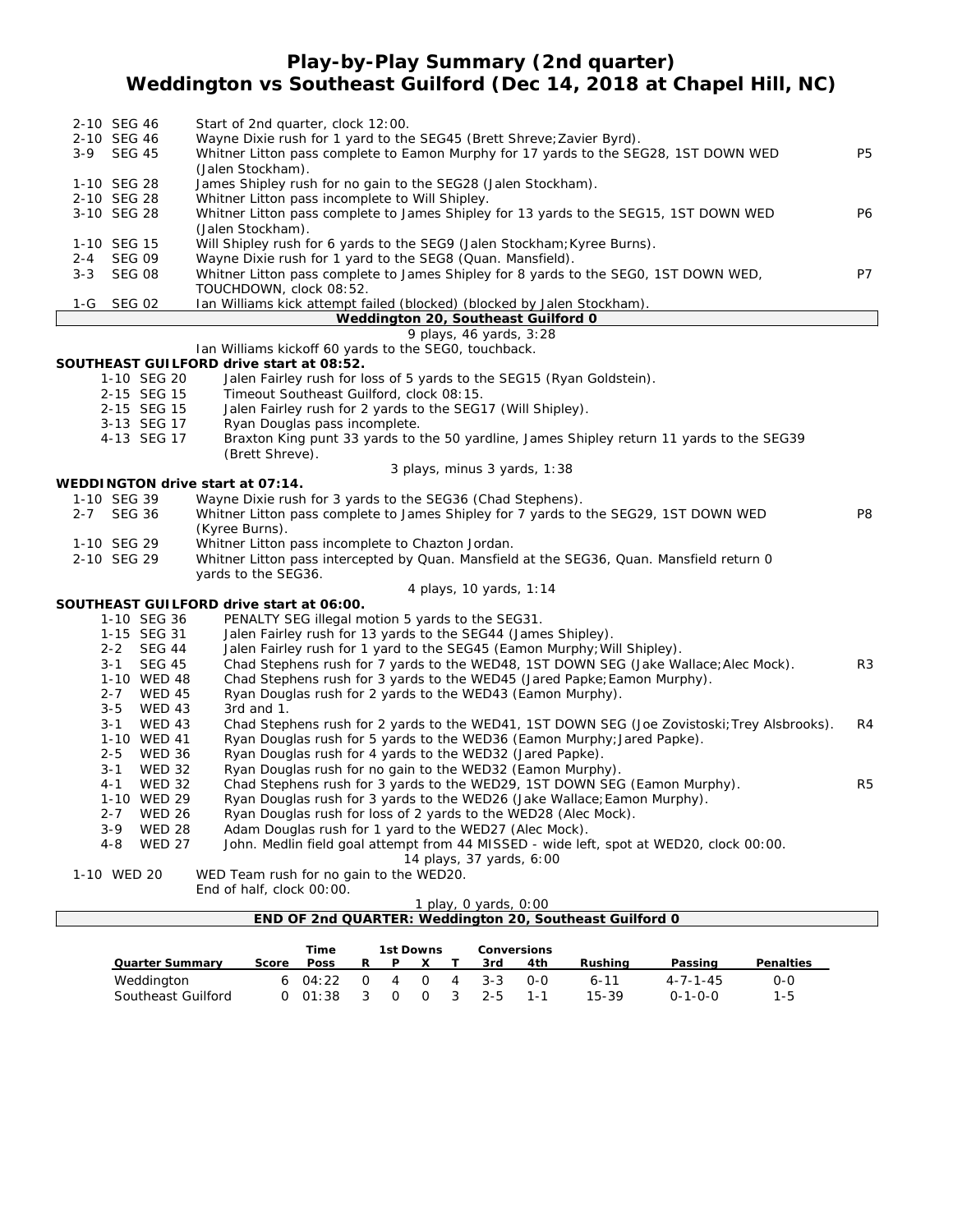## **Play-by-Play Summary (2nd quarter) Weddington vs Southeast Guilford (Dec 14, 2018 at Chapel Hill, NC)**

|         | 2-10 SEG 46   |                             | Start of 2nd quarter, clock 12:00.                                                                                                     |                |  |  |  |  |  |  |  |
|---------|---------------|-----------------------------|----------------------------------------------------------------------------------------------------------------------------------------|----------------|--|--|--|--|--|--|--|
|         | 2-10 SEG 46   |                             | Wayne Dixie rush for 1 yard to the SEG45 (Brett Shreve; Zavier Byrd).                                                                  |                |  |  |  |  |  |  |  |
|         | 3-9 SEG 45    |                             | Whitner Litton pass complete to Eamon Murphy for 17 yards to the SEG28, 1ST DOWN WED                                                   | <b>P5</b>      |  |  |  |  |  |  |  |
|         |               |                             | (Jalen Stockham).                                                                                                                      |                |  |  |  |  |  |  |  |
|         | 1-10 SEG 28   |                             | James Shipley rush for no gain to the SEG28 (Jalen Stockham).                                                                          |                |  |  |  |  |  |  |  |
|         | 2-10 SEG 28   |                             | Whitner Litton pass incomplete to Will Shipley.                                                                                        |                |  |  |  |  |  |  |  |
|         | 3-10 SEG 28   |                             | Whitner Litton pass complete to James Shipley for 13 yards to the SEG15, 1ST DOWN WED<br><b>P6</b>                                     |                |  |  |  |  |  |  |  |
|         |               |                             | (Jalen Stockham).                                                                                                                      |                |  |  |  |  |  |  |  |
|         | 1-10 SEG 15   |                             | Will Shipley rush for 6 yards to the SEG9 (Jalen Stockham; Kyree Burns).                                                               |                |  |  |  |  |  |  |  |
| $2 - 4$ | <b>SEG 09</b> |                             | Wayne Dixie rush for 1 yard to the SEG8 (Quan. Mansfield).                                                                             |                |  |  |  |  |  |  |  |
| $3 - 3$ | <b>SEG 08</b> |                             | Whitner Litton pass complete to James Shipley for 8 yards to the SEGO, 1ST DOWN WED,                                                   | <b>P7</b>      |  |  |  |  |  |  |  |
|         |               |                             | TOUCHDOWN, clock 08:52.                                                                                                                |                |  |  |  |  |  |  |  |
|         | 1-G SEG 02    |                             | Ian Williams kick attempt failed (blocked) (blocked by Jalen Stockham).                                                                |                |  |  |  |  |  |  |  |
|         |               |                             | Weddington 20, Southeast Guilford 0                                                                                                    |                |  |  |  |  |  |  |  |
|         |               |                             | 9 plays, 46 yards, 3:28<br>Ian Williams kickoff 60 yards to the SEGO, touchback.                                                       |                |  |  |  |  |  |  |  |
|         |               |                             | SOUTHEAST GUILFORD drive start at 08:52.                                                                                               |                |  |  |  |  |  |  |  |
|         |               | 1-10 SEG 20                 | Jalen Fairley rush for loss of 5 yards to the SEG15 (Ryan Goldstein).                                                                  |                |  |  |  |  |  |  |  |
|         |               | 2-15 SEG 15                 | Timeout Southeast Guilford, clock 08:15.                                                                                               |                |  |  |  |  |  |  |  |
|         |               | 2-15 SEG 15                 | Jalen Fairley rush for 2 yards to the SEG17 (Will Shipley).                                                                            |                |  |  |  |  |  |  |  |
|         |               | 3-13 SEG 17                 | Ryan Douglas pass incomplete.                                                                                                          |                |  |  |  |  |  |  |  |
|         |               | 4-13 SEG 17                 | Braxton King punt 33 yards to the 50 yardline, James Shipley return 11 yards to the SEG39                                              |                |  |  |  |  |  |  |  |
|         |               |                             | (Brett Shreve).                                                                                                                        |                |  |  |  |  |  |  |  |
|         |               |                             | 3 plays, minus 3 yards, 1:38                                                                                                           |                |  |  |  |  |  |  |  |
|         |               |                             | WEDDINGTON drive start at 07:14.                                                                                                       |                |  |  |  |  |  |  |  |
|         | 1-10 SEG 39   |                             | Wayne Dixie rush for 3 yards to the SEG36 (Chad Stephens).                                                                             |                |  |  |  |  |  |  |  |
|         | 2-7 SEG 36    |                             | Whitner Litton pass complete to James Shipley for 7 yards to the SEG29, 1ST DOWN WED                                                   | P <sub>8</sub> |  |  |  |  |  |  |  |
|         |               |                             | (Kyree Burns).                                                                                                                         |                |  |  |  |  |  |  |  |
|         | 1-10 SEG 29   |                             | Whitner Litton pass incomplete to Chazton Jordan.                                                                                      |                |  |  |  |  |  |  |  |
|         | 2-10 SEG 29   |                             | Whitner Litton pass intercepted by Quan. Mansfield at the SEG36, Quan. Mansfield return 0                                              |                |  |  |  |  |  |  |  |
|         |               |                             | yards to the SEG36.                                                                                                                    |                |  |  |  |  |  |  |  |
|         |               |                             | 4 plays, 10 yards, 1:14                                                                                                                |                |  |  |  |  |  |  |  |
|         |               |                             | SOUTHEAST GUILFORD drive start at 06:00.                                                                                               |                |  |  |  |  |  |  |  |
|         |               | 1-10 SEG 36                 | PENALTY SEG illegal motion 5 yards to the SEG31.                                                                                       |                |  |  |  |  |  |  |  |
|         |               | 1-15 SEG 31                 | Jalen Fairley rush for 13 yards to the SEG44 (James Shipley).                                                                          |                |  |  |  |  |  |  |  |
|         | $3 - 1$       | 2-2 SEG 44<br><b>SEG 45</b> | Jalen Fairley rush for 1 yard to the SEG45 (Eamon Murphy; Will Shipley).                                                               | R <sub>3</sub> |  |  |  |  |  |  |  |
|         |               |                             | Chad Stephens rush for 7 yards to the WED48, 1ST DOWN SEG (Jake Wallace; Alec Mock).                                                   |                |  |  |  |  |  |  |  |
|         |               | 1-10 WED 48<br>2-7 WED 45   | Chad Stephens rush for 3 yards to the WED45 (Jared Papke; Eamon Murphy).<br>Ryan Douglas rush for 2 yards to the WED43 (Eamon Murphy). |                |  |  |  |  |  |  |  |
|         | $3 - 5$       | <b>WED 43</b>               | 3rd and 1.                                                                                                                             |                |  |  |  |  |  |  |  |
|         | $3 - 1$       | <b>WED 43</b>               | Chad Stephens rush for 2 yards to the WED41, 1ST DOWN SEG (Joe Zovistoski; Trey Alsbrooks).                                            | R4             |  |  |  |  |  |  |  |
|         |               | 1-10 WED 41                 | Ryan Douglas rush for 5 yards to the WED36 (Eamon Murphy; Jared Papke).                                                                |                |  |  |  |  |  |  |  |
|         | $2 - 5$       | <b>WED 36</b>               | Ryan Douglas rush for 4 yards to the WED32 (Jared Papke).                                                                              |                |  |  |  |  |  |  |  |
|         | $3 - 1$       | <b>WED 32</b>               | Ryan Douglas rush for no gain to the WED32 (Eamon Murphy).                                                                             |                |  |  |  |  |  |  |  |
|         | 4 - 1         | <b>WED 32</b>               | Chad Stephens rush for 3 yards to the WED29, 1ST DOWN SEG (Eamon Murphy).                                                              | R <sub>5</sub> |  |  |  |  |  |  |  |
|         |               | 1-10 WED 29                 | Ryan Douglas rush for 3 yards to the WED26 (Jake Wallace; Eamon Murphy).                                                               |                |  |  |  |  |  |  |  |
|         | $2 - 7$       | <b>WED 26</b>               | Ryan Douglas rush for loss of 2 yards to the WED28 (Alec Mock).                                                                        |                |  |  |  |  |  |  |  |
|         | $3-9$         | <b>WED 28</b>               | Adam Douglas rush for 1 yard to the WED27 (Alec Mock).                                                                                 |                |  |  |  |  |  |  |  |
|         | $4 - 8$       | <b>WED 27</b>               | John. Medlin field goal attempt from 44 MISSED - wide left, spot at WED20, clock 00:00.                                                |                |  |  |  |  |  |  |  |
|         |               |                             | 14 plays, 37 yards, 6:00                                                                                                               |                |  |  |  |  |  |  |  |
|         | 1-10 WED 20   |                             | WED Team rush for no gain to the WED20.                                                                                                |                |  |  |  |  |  |  |  |

End of half, clock 00:00.

### *1 play, 0 yards, 0:00*

|                        |       | Time        |        |          | 1st Downs |                | <b>Conversions</b> |     |          |                  |                  |
|------------------------|-------|-------------|--------|----------|-----------|----------------|--------------------|-----|----------|------------------|------------------|
| <b>Quarter Summary</b> | Score | <b>Poss</b> | R      | <b>P</b> |           |                | 3rd                | 4th | Rushina  | Passing          | <b>Penalties</b> |
| Weddington             |       | 6 $04:22$   | $\cap$ | 4        | $\cap$    | 4              | $3 - 3$            | റ-റ | $6 - 11$ | $4 - 7 - 1 - 45$ | 0-0              |
| Southeast Guilford     |       | 01:38       |        |          |           | $\overline{3}$ | $2 - 5$            |     | 15-39    | $0 - 1 - 0 - 0$  | $1 - 5$          |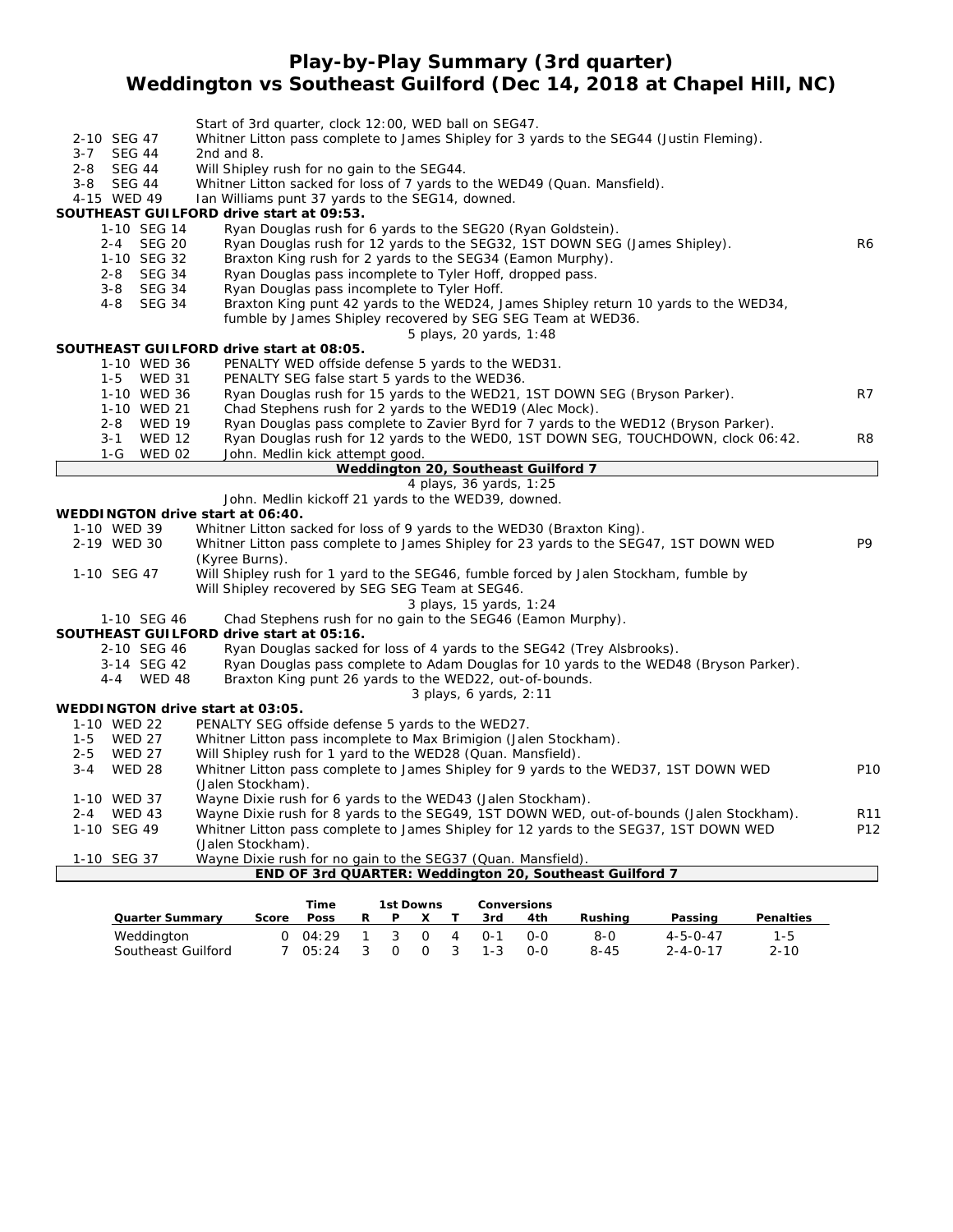### **Play-by-Play Summary (3rd quarter)**

# **Weddington vs Southeast Guilford (Dec 14, 2018 at Chapel Hill, NC)**

|                                  | Start of 3rd quarter, clock 12:00, WED ball on SEG47.                                                                                            |                 |
|----------------------------------|--------------------------------------------------------------------------------------------------------------------------------------------------|-----------------|
| 2-10 SEG 47                      | Whitner Litton pass complete to James Shipley for 3 yards to the SEG44 (Justin Fleming).                                                         |                 |
| <b>SEG 44</b><br>$3 - 7$         | 2nd and $8.$                                                                                                                                     |                 |
| <b>SEG 44</b><br>$2 - 8$         | Will Shipley rush for no gain to the SEG44.                                                                                                      |                 |
| 3-8 SEG 44                       | Whitner Litton sacked for loss of 7 yards to the WED49 (Quan. Mansfield).                                                                        |                 |
| 4-15 WED 49                      | Ian Williams punt 37 yards to the SEG14, downed.                                                                                                 |                 |
| 1-10 SEG 14                      | SOUTHEAST GUILFORD drive start at 09:53.<br>Ryan Douglas rush for 6 yards to the SEG20 (Ryan Goldstein).                                         |                 |
| 2-4 SEG 20                       | Ryan Douglas rush for 12 yards to the SEG32, 1ST DOWN SEG (James Shipley).                                                                       | R6              |
| 1-10 SEG 32                      | Braxton King rush for 2 yards to the SEG34 (Eamon Murphy).                                                                                       |                 |
| <b>SEG 34</b><br>$2 - 8$         | Ryan Douglas pass incomplete to Tyler Hoff, dropped pass.                                                                                        |                 |
| 3-8 SEG 34                       | Ryan Douglas pass incomplete to Tyler Hoff.                                                                                                      |                 |
| <b>SEG 34</b><br>$4 - 8$         | Braxton King punt 42 yards to the WED24, James Shipley return 10 yards to the WED34,                                                             |                 |
|                                  | fumble by James Shipley recovered by SEG SEG Team at WED36.                                                                                      |                 |
|                                  | 5 plays, 20 yards, 1:48                                                                                                                          |                 |
|                                  | SOUTHEAST GUILFORD drive start at 08:05.                                                                                                         |                 |
| 1-10 WED 36                      | PENALTY WED offside defense 5 yards to the WED31.                                                                                                |                 |
| 1-5 WED 31                       | PENALTY SEG false start 5 yards to the WED36.                                                                                                    |                 |
| 1-10 WED 36                      | Ryan Douglas rush for 15 yards to the WED21, 1ST DOWN SEG (Bryson Parker).                                                                       | R7              |
| 1-10 WED 21                      | Chad Stephens rush for 2 yards to the WED19 (Alec Mock).                                                                                         |                 |
| 2-8 WED 19                       | Ryan Douglas pass complete to Zavier Byrd for 7 yards to the WED12 (Bryson Parker).                                                              |                 |
| <b>WED 12</b><br>$3 - 1$         | Ryan Douglas rush for 12 yards to the WED0, 1ST DOWN SEG, TOUCHDOWN, clock 06:42.                                                                | R8              |
| 1-G WED 02                       | John. Medlin kick attempt good.<br>Weddington 20, Southeast Guilford 7                                                                           |                 |
|                                  | 4 plays, 36 yards, 1:25                                                                                                                          |                 |
|                                  | John. Medlin kickoff 21 yards to the WED39, downed.                                                                                              |                 |
| WEDDINGTON drive start at 06:40. |                                                                                                                                                  |                 |
| 1-10 WED 39                      | Whitner Litton sacked for loss of 9 yards to the WED30 (Braxton King).                                                                           |                 |
| 2-19 WED 30                      | Whitner Litton pass complete to James Shipley for 23 yards to the SEG47, 1ST DOWN WED                                                            | P9              |
|                                  | (Kyree Burns).                                                                                                                                   |                 |
| 1-10 SEG 47                      | Will Shipley rush for 1 yard to the SEG46, fumble forced by Jalen Stockham, fumble by                                                            |                 |
|                                  | Will Shipley recovered by SEG SEG Team at SEG46.                                                                                                 |                 |
|                                  | 3 plays, 15 yards, 1:24                                                                                                                          |                 |
| 1-10 SEG 46                      | Chad Stephens rush for no gain to the SEG46 (Eamon Murphy).                                                                                      |                 |
|                                  | SOUTHEAST GUILFORD drive start at 05:16.                                                                                                         |                 |
| 2-10 SEG 46                      | Ryan Douglas sacked for loss of 4 yards to the SEG42 (Trey Alsbrooks).                                                                           |                 |
| 3-14 SEG 42<br>4-4 WED 48        | Ryan Douglas pass complete to Adam Douglas for 10 yards to the WED48 (Bryson Parker).<br>Braxton King punt 26 yards to the WED22, out-of-bounds. |                 |
|                                  | 3 plays, 6 yards, 2:11                                                                                                                           |                 |
| WEDDINGTON drive start at 03:05. |                                                                                                                                                  |                 |
| 1-10 WED 22                      | PENALTY SEG offside defense 5 yards to the WED27.                                                                                                |                 |
| <b>WED 27</b><br>$1-5$           | Whitner Litton pass incomplete to Max Brimigion (Jalen Stockham).                                                                                |                 |
| <b>WED 27</b><br>$2 - 5$         | Will Shipley rush for 1 yard to the WED28 (Quan. Mansfield).                                                                                     |                 |
| <b>WED 28</b><br>3-4             | Whitner Litton pass complete to James Shipley for 9 yards to the WED37, 1ST DOWN WED                                                             | P <sub>10</sub> |
|                                  | (Jalen Stockham).                                                                                                                                |                 |
| 1-10 WED 37                      | Wayne Dixie rush for 6 yards to the WED43 (Jalen Stockham).                                                                                      |                 |
| $2 - 4$<br><b>WED 43</b>         | Wayne Dixie rush for 8 yards to the SEG49, 1ST DOWN WED, out-of-bounds (Jalen Stockham).                                                         | R11             |
| 1-10 SEG 49                      | Whitner Litton pass complete to James Shipley for 12 yards to the SEG37, 1ST DOWN WED                                                            | P12             |
|                                  | (Jalen Stockham).                                                                                                                                |                 |
| 1-10 SEG 37                      | Wayne Dixie rush for no gain to the SEG37 (Quan. Mansfield).                                                                                     |                 |
|                                  | END OF 3rd QUARTER: Weddington 20, Southeast Guilford 7                                                                                          |                 |

|                        |       | Time            |    | 1st Downs |          |   | <b>Conversions</b> |     |          |                  |                  |
|------------------------|-------|-----------------|----|-----------|----------|---|--------------------|-----|----------|------------------|------------------|
| <b>Quarter Summary</b> | Score | <b>Poss</b>     | R  | P         |          |   | 3rd                | 4th | Rushina  | Passing          | <b>Penalties</b> |
| Weddington             |       | $0 \quad 04:29$ |    | - 3       | $\Omega$ | 4 | $() - 1$           | റ-റ | 8-0      | $4 - 5 - 0 - 47$ | 1-5              |
| Southeast Guilford     |       | 05:24           | -3 | $\Omega$  | $\Omega$ | 3 | $1 - 3$            | റ-റ | $8 - 45$ | $2 - 4 - 0 - 17$ | $2 - 10$         |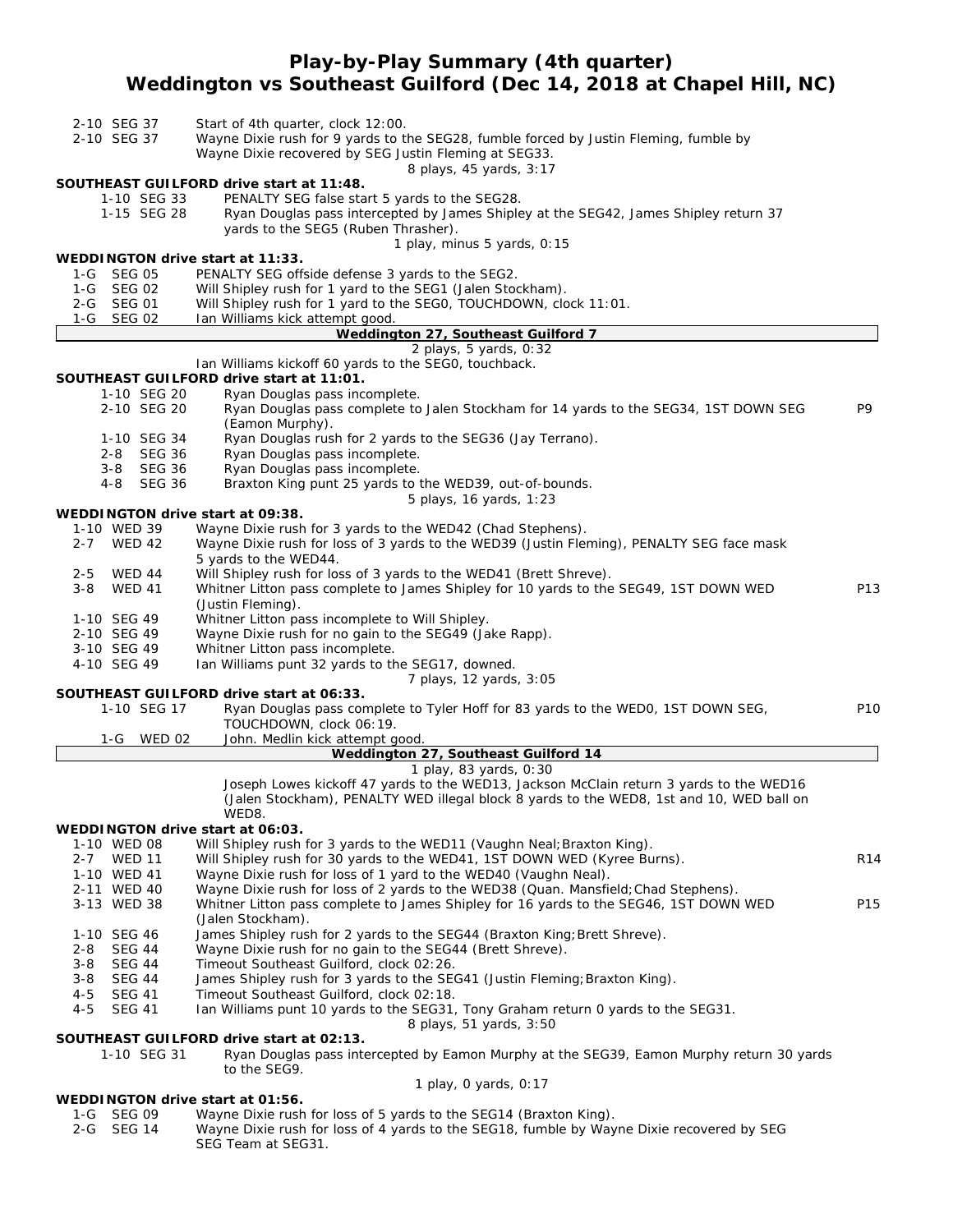# **Play-by-Play Summary (4th quarter) Weddington vs Southeast Guilford (Dec 14, 2018 at Chapel Hill, NC)**

| 2-10 SEG 37 | Start of 4th quarter, clock 12:00. |
|-------------|------------------------------------|
|             |                                    |

2-10 SEG 37 Wayne Dixie rush for 9 yards to the SEG28, fumble forced by Justin Fleming, fumble by

Wayne Dixie recovered by SEG Justin Fleming at SEG33.

*8 plays, 45 yards, 3:17*

#### **SOUTHEAST GUILFORD drive start at 11:48.**

1-10 SEG 33 PENALTY SEG false start 5 yards to the SEG28.<br>1-15 SEG 28 Ryan Douglas pass intercepted by James Shiple Ryan Douglas pass intercepted by James Shipley at the SEG42, James Shipley return 37 yards to the SEG5 (Ruben Thrasher).

*1 play, minus 5 yards, 0:15*

#### **WEDDINGTON drive start at 11:33.**

- 1-G SEG 05 PENALTY SEG offside defense 3 yards to the SEG2.
- 1-G SEG 02 Will Shipley rush for 1 yard to the SEG1 (Jalen Stockham).
- 2-G SEG 01 Will Shipley rush for 1 yard to the SEG0, TOUCHDOWN, clock 11:01.
- 1-G SEG 02 Ian Williams kick attempt good.

### **Weddington 27, Southeast Guilford 7**

*2 plays, 5 yards, 0:32* Ian Williams kickoff 60 yards to the SEG0, touchback.

#### **SOUTHEAST GUILFORD drive start at 11:01.**

- 
- 1-10 SEG 20 Ryan Douglas pass incomplete.<br>2-10 SEG 20 Ryan Douglas pass complete to Ryan Douglas pass complete to Jalen Stockham for 14 yards to the SEG34, 1ST DOWN SEG P9 (Eamon Murphy).
- 1-10 SEG 34 Ryan Douglas rush for 2 yards to the SEG36 (Jay Terrano).
- 2-8 SEG 36 Ryan Douglas pass incomplete.
- 3-8 SEG 36 Ryan Douglas pass incomplete.
- 4-8 SEG 36 Braxton King punt 25 yards to the WED39, out-of-bounds.

*5 plays, 16 yards, 1:23*

### **WEDDINGTON drive start at 09:38.**

|         |               | WEDDINGTON drive start at 09:38.                                                                                       |                 |
|---------|---------------|------------------------------------------------------------------------------------------------------------------------|-----------------|
|         | 1-10 WED 39   | Wayne Dixie rush for 3 yards to the WED42 (Chad Stephens).                                                             |                 |
| $2 - 7$ | WED 42        | Wayne Dixie rush for loss of 3 yards to the WED39 (Justin Fleming), PENALTY SEG face mask<br>5 yards to the WED44.     |                 |
| $2 - 5$ | <b>WED 44</b> | Will Shipley rush for loss of 3 yards to the WED41 (Brett Shreve).                                                     |                 |
| 3-8     | WED 41        | Whitner Litton pass complete to James Shipley for 10 yards to the SEG49, 1ST DOWN WED<br>(Justin Fleming).             | P <sub>13</sub> |
|         | 1-10 SEG 49   | Whitner Litton pass incomplete to Will Shipley.                                                                        |                 |
|         | 2-10 SEG 49   | Wayne Dixie rush for no gain to the SEG49 (Jake Rapp).                                                                 |                 |
|         | 3-10 SEG 49   | Whitner Litton pass incomplete.                                                                                        |                 |
|         | 4-10 SEG 49   | Ian Williams punt 32 yards to the SEG17, downed.                                                                       |                 |
|         |               | 7 plays, 12 yards, 3:05                                                                                                |                 |
|         |               | SOUTHEAST GUILFORD drive start at 06:33.                                                                               |                 |
|         | 1-10 SEG 17   | Ryan Douglas pass complete to Tyler Hoff for 83 yards to the WEDO, 1ST DOWN SEG,<br><b>TAU AU RAILLE LUIREACH 1999</b> | P <sub>10</sub> |

|            | TOUCHDOWN, Clock 06:19.        |
|------------|--------------------------------|
| 1-G WED 02 | John. Medlin kick attempt good |

| Weddington 27, Southeast Guilford 14 |  |  |  |
|--------------------------------------|--|--|--|
|                                      |  |  |  |

#### *1 play, 83 yards, 0:30*

Joseph Lowes kickoff 47 yards to the WED13, Jackson McClain return 3 yards to the WED16 (Jalen Stockham), PENALTY WED illegal block 8 yards to the WED8, 1st and 10, WED ball on WED8.

#### **WEDDINGTON drive start at 06:03.**

- 1-10 WED 08 Will Shipley rush for 3 yards to the WED11 (Vaughn Neal; Braxton King).
	- 2-7 WED 11 Will Shipley rush for 30 yards to the WED41, 1ST DOWN WED (Kyree Burns). R14
- 1-10 WED 41 Wayne Dixie rush for loss of 1 yard to the WED40 (Vaughn Neal).
- 2-11 WED 40 Wayne Dixie rush for loss of 2 yards to the WED38 (Quan. Mansfield;Chad Stephens). 3-13 WED 38 Whitner Litton pass complete to James Shipley for 16 yards to the SEG46, 1ST DOWN WED P15 (Jalen Stockham).
- 1-10 SEG 46 James Shipley rush for 2 yards to the SEG44 (Braxton King; Brett Shreve).
- 2-8 SEG 44 Wayne Dixie rush for no gain to the SEG44 (Brett Shreve).
- 3-8 SEG 44 Timeout Southeast Guilford, clock 02:26.
- 3-8 SEG 44 James Shipley rush for 3 yards to the SEG41 (Justin Fleming; Braxton King).
- 4-5 SEG 41 Timeout Southeast Guilford, clock 02:18.
- 4-5 SEG 41 Ian Williams punt 10 yards to the SEG31, Tony Graham return 0 yards to the SEG31.

*8 plays, 51 yards, 3:50*

#### **SOUTHEAST GUILFORD drive start at 02:13.**

1-10 SEG 31 Ryan Douglas pass intercepted by Eamon Murphy at the SEG39, Eamon Murphy return 30 yards to the SEG9. *1 play, 0 yards, 0:17*

#### **WEDDINGTON drive start at 01:56.**

- 1-G SEG 09 Wayne Dixie rush for loss of 5 yards to the SEG14 (Braxton King).
- 2-G SEG 14 Wayne Dixie rush for loss of 4 yards to the SEG18, fumble by Wayne Dixie recovered by SEG SEG Team at SEG31.